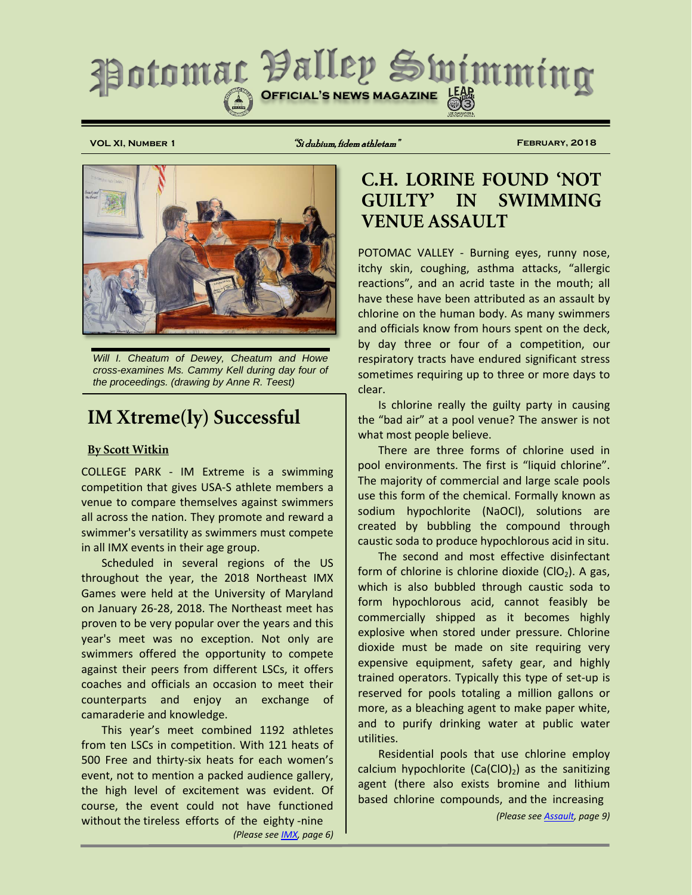

**VOL XI, Number 1** "Si dubium, fidem athletam" **February, 2018**



*Will I. Cheatum of Dewey, Cheatum and Howe cross-examines Ms. Cammy Kell during day four of the proceedings. (drawing by Anne R. Teest)*

# **IM Xtreme(ly) Successful**

### **By Scott Witkin**

COLLEGE PARK - IM Extreme is a swimming competition that gives USA-S athlete members a venue to compare themselves against swimmers all across the nation. They promote and reward a swimmer's versatility as swimmers must compete in all IMX events in their age group.

Scheduled in several regions of the US throughout the year, the 2018 Northeast IMX Games were held at the University of Maryland on January 26-28, 2018. The Northeast meet has proven to be very popular over the years and this year's meet was no exception. Not only are swimmers offered the opportunity to compete against their peers from different LSCs, it offers coaches and officials an occasion to meet their counterparts and enjoy an exchange of camaraderie and knowledge.

This year's meet combined 1192 athletes from ten LSCs in competition. With 121 heats of 500 Free and thirty-six heats for each women's event, not to mention a packed audience gallery, the high level of excitement was evident. Of course, the event could not have functioned without the tireless efforts of the eighty -nine *(Please see [IMX,](#page-5-0) page 6)*

# **C.H. LORINE FOUND 'NOT GUILTY' IN SWIMMING VENUE ASSAULT**

POTOMAC VALLEY - Burning eyes, runny nose, itchy skin, coughing, asthma attacks, "allergic reactions", and an acrid taste in the mouth; all have these have been attributed as an assault by chlorine on the human body. As many swimmers and officials know from hours spent on the deck, by day three or four of a competition, our respiratory tracts have endured significant stress sometimes requiring up to three or more days to clear.

Is chlorine really the guilty party in causing the "bad air" at a pool venue? The answer is not what most people believe.

There are three forms of chlorine used in pool environments. The first is "liquid chlorine". The majority of commercial and large scale pools use this form of the chemical. Formally known as sodium hypochlorite (NaOCl), solutions are created by bubbling the compound through caustic soda to produce hypochlorous acid in situ.

The second and most effective disinfectant form of chlorine is chlorine dioxide ( $ClO<sub>2</sub>$ ). A gas, which is also bubbled through caustic soda to form hypochlorous acid, cannot feasibly be commercially shipped as it becomes highly explosive when stored under pressure. Chlorine dioxide must be made on site requiring very expensive equipment, safety gear, and highly trained operators. Typically this type of set-up is reserved for pools totaling a million gallons or more, as a bleaching agent to make paper white, and to purify drinking water at public water utilities.

Residential pools that use chlorine employ calcium hypochlorite  $(Ca(C10)_2)$  as the sanitizing agent (there also exists bromine and lithium based chlorine compounds, and the increasing

*(Please se[e Assault,](#page-8-0) page 9)*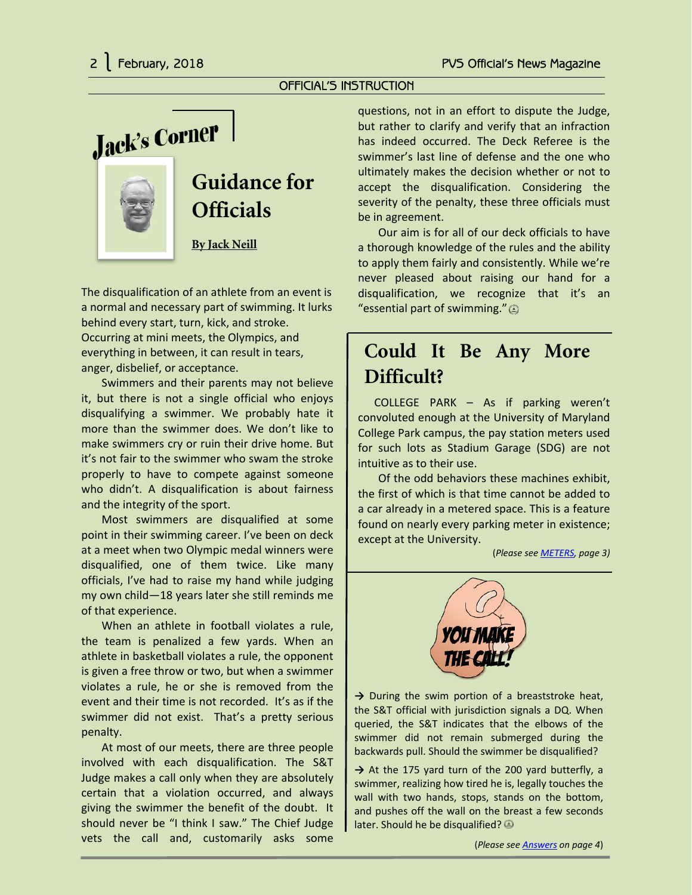### OFFICIAL'S INSTRUCTION

Jack's Corner



# **Guidance for Officials**

**By Jack Neill**

The disqualification of an athlete from an event is a normal and necessary part of swimming. It lurks behind every start, turn, kick, and stroke. Occurring at mini meets, the Olympics, and everything in between, it can result in tears, anger, disbelief, or acceptance.

Swimmers and their parents may not believe it, but there is not a single official who enjoys disqualifying a swimmer. We probably hate it more than the swimmer does. We don't like to make swimmers cry or ruin their drive home. But it's not fair to the swimmer who swam the stroke properly to have to compete against someone who didn't. A disqualification is about fairness and the integrity of the sport.

Most swimmers are disqualified at some point in their swimming career. I've been on deck at a meet when two Olympic medal winners were disqualified, one of them twice. Like many officials, I've had to raise my hand while judging my own child—18 years later she still reminds me of that experience.

When an athlete in football violates a rule, the team is penalized a few yards. When an athlete in basketball violates a rule, the opponent is given a free throw or two, but when a swimmer violates a rule, he or she is removed from the event and their time is not recorded. It's as if the swimmer did not exist. That's a pretty serious penalty.

At most of our meets, there are three people involved with each disqualification. The S&T Judge makes a call only when they are absolutely certain that a violation occurred, and always giving the swimmer the benefit of the doubt. It should never be "I think I saw." The Chief Judge vets the call and, customarily asks some

questions, not in an effort to dispute the Judge, but rather to clarify and verify that an infraction has indeed occurred. The Deck Referee is the swimmer's last line of defense and the one who ultimately makes the decision whether or not to accept the disqualification. Considering the severity of the penalty, these three officials must be in agreement.

Our aim is for all of our deck officials to have a thorough knowledge of the rules and the ability to apply them fairly and consistently. While we're never pleased about raising our hand for a disqualification, we recognize that it's an "essential part of swimming."  $\circledcirc$ 

# **Could It Be Any More Difficult?**

COLLEGE PARK – As if parking weren't convoluted enough at the University of Maryland College Park campus, the pay station meters used for such lots as Stadium Garage (SDG) are not intuitive as to their use.

Of the odd behaviors these machines exhibit, the first of which is that time cannot be added to a car already in a metered space. This is a feature found on nearly every parking meter in existence; except at the University.

(*Please se[e METERS,](#page-2-0) page 3)*



→ During the swim portion of a breaststroke heat, the S&T official with jurisdiction signals a DQ. When queried, the S&T indicates that the elbows of the swimmer did not remain submerged during the backwards pull. Should the swimmer be disqualified?

**→** At the 175 yard turn of the 200 yard butterfly, a swimmer, realizing how tired he is, legally touches the wall with two hands, stops, stands on the bottom, and pushes off the wall on the breast a few seconds later. Should he be disqualified?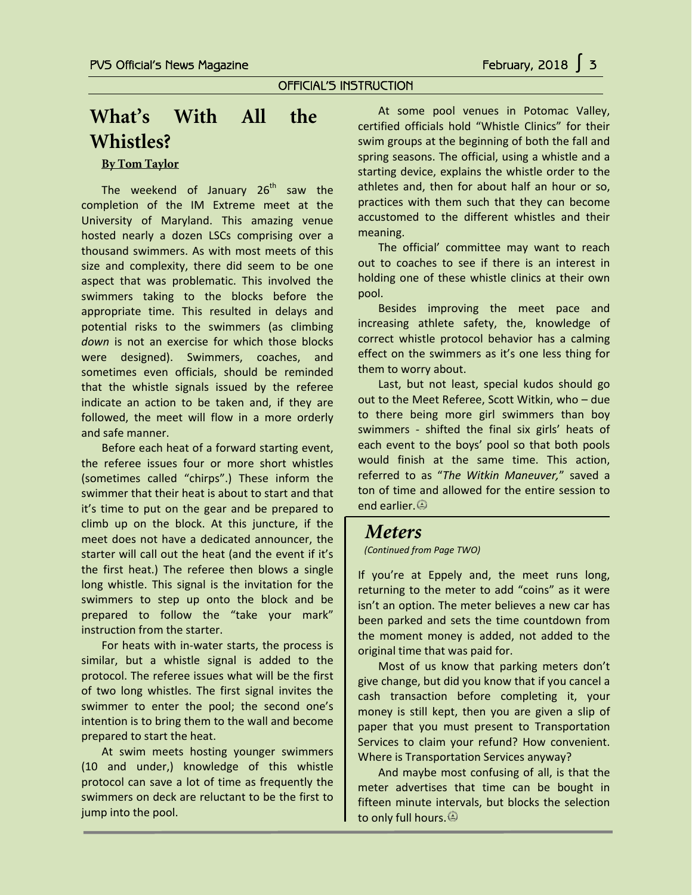### OFFICIAL'S INSTRUCTION

# **What's With All the Whistles?**

### **By Tom Taylor**

The weekend of January  $26<sup>th</sup>$  saw the completion of the IM Extreme meet at the University of Maryland. This amazing venue hosted nearly a dozen LSCs comprising over a thousand swimmers. As with most meets of this size and complexity, there did seem to be one aspect that was problematic. This involved the swimmers taking to the blocks before the appropriate time. This resulted in delays and potential risks to the swimmers (as climbing *down* is not an exercise for which those blocks were designed). Swimmers, coaches, and sometimes even officials, should be reminded that the whistle signals issued by the referee indicate an action to be taken and, if they are followed, the meet will flow in a more orderly and safe manner.

Before each heat of a forward starting event, the referee issues four or more short whistles (sometimes called "chirps".) These inform the swimmer that their heat is about to start and that it's time to put on the gear and be prepared to climb up on the block. At this juncture, if the meet does not have a dedicated announcer, the starter will call out the heat (and the event if it's the first heat.) The referee then blows a single long whistle. This signal is the invitation for the swimmers to step up onto the block and be prepared to follow the "take your mark" instruction from the starter.

For heats with in-water starts, the process is similar, but a whistle signal is added to the protocol. The referee issues what will be the first of two long whistles. The first signal invites the swimmer to enter the pool; the second one's intention is to bring them to the wall and become prepared to start the heat.

At swim meets hosting younger swimmers (10 and under,) knowledge of this whistle protocol can save a lot of time as frequently the swimmers on deck are reluctant to be the first to jump into the pool.

At some pool venues in Potomac Valley, certified officials hold "Whistle Clinics" for their swim groups at the beginning of both the fall and spring seasons. The official, using a whistle and a starting device, explains the whistle order to the athletes and, then for about half an hour or so, practices with them such that they can become accustomed to the different whistles and their meaning.

The official' committee may want to reach out to coaches to see if there is an interest in holding one of these whistle clinics at their own pool.

Besides improving the meet pace and increasing athlete safety, the, knowledge of correct whistle protocol behavior has a calming effect on the swimmers as it's one less thing for them to worry about.

Last, but not least, special kudos should go out to the Meet Referee, Scott Witkin, who – due to there being more girl swimmers than boy swimmers - shifted the final six girls' heats of each event to the boys' pool so that both pools would finish at the same time. This action, referred to as "*The Witkin Maneuver,*" saved a ton of time and allowed for the entire session to end earlier.

# <span id="page-2-0"></span>*Meters*

*(Continued from Page TWO)*

If you're at Eppely and, the meet runs long, returning to the meter to add "coins" as it were isn't an option. The meter believes a new car has been parked and sets the time countdown from the moment money is added, not added to the original time that was paid for.

Most of us know that parking meters don't give change, but did you know that if you cancel a cash transaction before completing it, your money is still kept, then you are given a slip of paper that you must present to Transportation Services to claim your refund? How convenient. Where is Transportation Services anyway?

And maybe most confusing of all, is that the meter advertises that time can be bought in fifteen minute intervals, but blocks the selection to only full hours.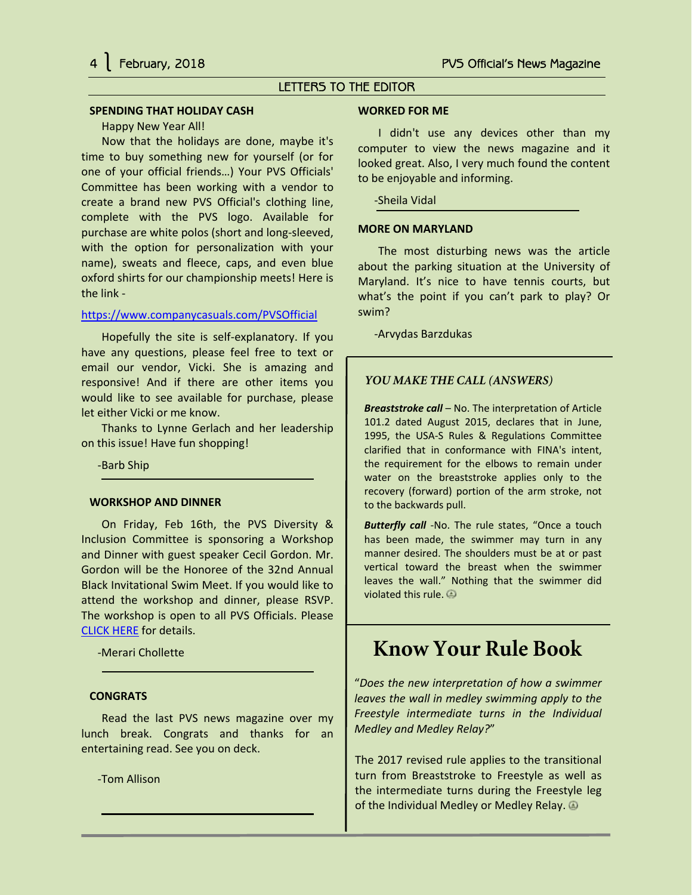### LETTERS TO THE EDITOR

#### **SPENDING THAT HOLIDAY CASH**

#### Happy New Year All!

Now that the holidays are done, maybe it's time to buy something new for yourself (or for one of your official friends…) Your PVS Officials' Committee has been working with a vendor to create a brand new PVS Official's clothing line, complete with the PVS logo. Available for purchase are white polos (short and long-sleeved, with the option for personalization with your name), sweats and fleece, caps, and even blue oxford shirts for our championship meets! Here is the link -

#### <https://www.companycasuals.com/PVSOfficial>

Hopefully the site is self-explanatory. If you have any questions, please feel free to text or email our vendor, Vicki. She is amazing and responsive! And if there are other items you would like to see available for purchase, please let either Vicki or me know.

Thanks to Lynne Gerlach and her leadership on this issue! Have fun shopping!

-Barb Ship

#### **WORKSHOP AND DINNER**

On Friday, Feb 16th, the PVS Diversity & Inclusion Committee is sponsoring a Workshop and Dinner with guest speaker Cecil Gordon. Mr. Gordon will be the Honoree of the 32nd Annual Black Invitational Swim Meet. If you would like to attend the workshop and dinner, please RSVP. The workshop is open to all PVS Officials. Please [CLICK HERE](https://docs.google.com/forms/d/1uO9Fs_IP7X1HdHFzOjF6-DQuQZ9hxtoIchFu_l_-XU4/viewform?edit_requested=true) for details.

-Merari Chollette

#### **CONGRATS**

Read the last PVS news magazine over my lunch break. Congrats and thanks for an entertaining read. See you on deck.

-Tom Allison

#### **WORKED FOR ME**

I didn't use any devices other than my computer to view the news magazine and it looked great. Also, I very much found the content to be enjoyable and informing.

-Sheila Vidal

#### **MORE ON MARYLAND**

The most disturbing news was the article about the parking situation at the University of Maryland. It's nice to have tennis courts, but what's the point if you can't park to play? Or swim?

-Arvydas Barzdukas

#### <span id="page-3-0"></span>*YOU MAKE THE CALL (ANSWERS)*

*Breaststroke call* – No. The interpretation of Article 101.2 dated August 2015, declares that in June, 1995, the USA-S Rules & Regulations Committee clarified that in conformance with FINA's intent, the requirement for the elbows to remain under water on the breaststroke applies only to the recovery (forward) portion of the arm stroke, not to the backwards pull.

*Butterfly call* -No. The rule states, "Once a touch has been made, the swimmer may turn in any manner desired. The shoulders must be at or past vertical toward the breast when the swimmer leaves the wall." Nothing that the swimmer did violated this rule.

# **Know Your Rule Book**

"*Does the new interpretation of how a swimmer leaves the wall in medley swimming apply to the Freestyle intermediate turns in the Individual Medley and Medley Relay?*"

The 2017 revised rule applies to the transitional turn from Breaststroke to Freestyle as well as the intermediate turns during the Freestyle leg of the Individual Medley or Medley Relay.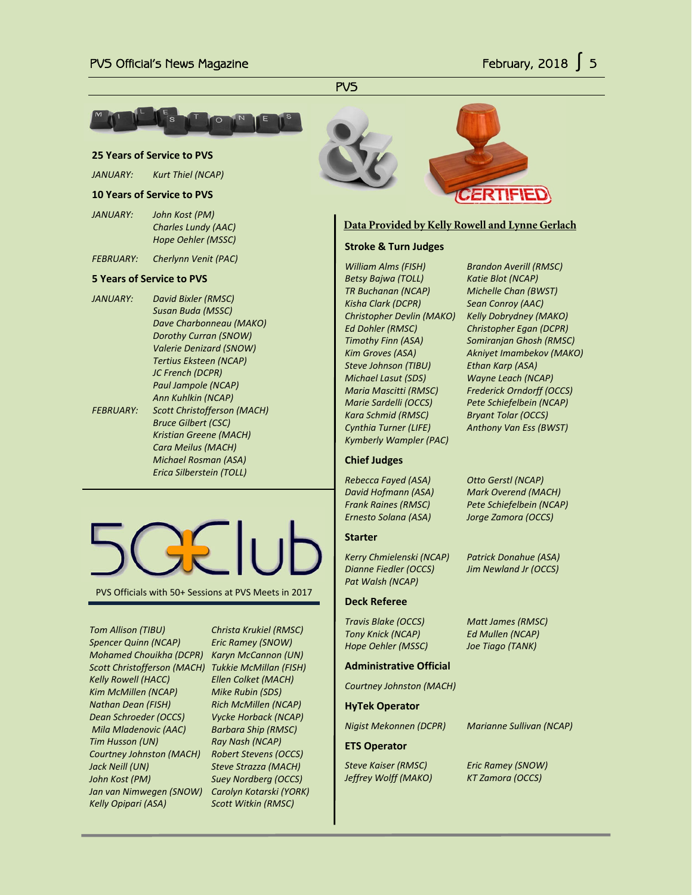<u>PVS</u>



#### **25 Years of Service to PVS**

*JANUARY: Kurt Thiel (NCAP)*

#### **10 Years of Service to PVS**

- *JANUARY: John Kost (PM) Charles Lundy (AAC) Hope Oehler (MSSC)*
- *FEBRUARY: Cherlynn Venit (PAC)*

#### **5 Years of Service to PVS**

*JANUARY: David Bixler (RMSC) Susan Buda (MSSC) Dave Charbonneau (MAKO) Dorothy Curran (SNOW) Valerie Denizard (SNOW) Tertius Eksteen (NCAP) JC French (DCPR) Paul Jampole (NCAP) Ann Kuhlkin (NCAP) FEBRUARY: Scott Christofferson (MACH) Bruce Gilbert (CSC) Kristian Greene (MACH) Cara Meilus (MACH) Michael Rosman (ASA) Erica Silberstein (TOLL)*



PVS Officials with 50+ Sessions at PVS Meets in 2017

*Tom Allison (TIBU) Christa Krukiel (RMSC) Spencer Quinn (NCAP) Eric Ramey (SNOW) Mohamed Chouikha (DCPR) Karyn McCannon (UN) Scott Christofferson (MACH) Tukkie McMillan (FISH) Kelly Rowell (HACC) Ellen Colket (MACH) Kim McMillen (NCAP) Mike Rubin (SDS) Nathan Dean (FISH) Rich McMillen (NCAP) Dean Schroeder (OCCS) Vycke Horback (NCAP) Mila Mladenovic (AAC) Barbara Ship (RMSC) Tim Husson (UN) Ray Nash (NCAP) Courtney Johnston (MACH) Robert Stevens (OCCS) Jack Neill (UN) Steve Strazza (MACH) John Kost (PM) Suey Nordberg (OCCS) Jan van Nimwegen (SNOW) Carolyn Kotarski (YORK) Kelly Opipari (ASA) Scott Witkin (RMSC)*





### **Data Provided by Kelly Rowell and Lynne Gerlach**

#### **Stroke & Turn Judges**

*William Alms (FISH) Brandon Averill (RMSC) Betsy Bajwa (TOLL) Katie Blot (NCAP) TR Buchanan (NCAP) Michelle Chan (BWST) Kisha Clark (DCPR) Sean Conroy (AAC) Christopher Devlin (MAKO) Kelly Dobrydney (MAKO) Ed Dohler (RMSC) Christopher Egan (DCPR) Steve Johnson (TIBU) Ethan Karp (ASA) Michael Lasut (SDS) Wayne Leach (NCAP) Kara Schmid (RMSC) Bryant Tolar (OCCS) Cynthia Turner (LIFE) Anthony Van Ess (BWST) Kymberly Wampler (PAC)*

*Timothy Finn (ASA) Somiranjan Ghosh (RMSC) Kim Groves (ASA) Akniyet Imambekov (MAKO) Maria Mascitti (RMSC) Frederick Orndorff (OCCS) Marie Sardelli (OCCS) Pete Schiefelbein (NCAP)*

#### **Chief Judges**

*Rebecca Fayed (ASA) Otto Gerstl (NCAP) David Hofmann (ASA) Mark Overend (MACH) Frank Raines (RMSC) Pete Schiefelbein (NCAP) Ernesto Solana (ASA) Jorge Zamora (OCCS)*

#### **Starter**

*Kerry Chmielenski (NCAP) Patrick Donahue (ASA) Dianne Fiedler (OCCS) Jim Newland Jr (OCCS) Pat Walsh (NCAP)*

#### **Deck Referee**

*Travis Blake (OCCS) Matt James (RMSC) Tony Knick (NCAP) Ed Mullen (NCAP) Hope Oehler (MSSC) Joe Tiago (TANK)*

#### **Administrative Official**

*Courtney Johnston (MACH)*

**HyTek Operator**

*Nigist Mekonnen (DCPR) Marianne Sullivan (NCAP)*

#### **ETS Operator**

*Jeffrey Wolff (MAKO) KT Zamora (OCCS)*

*Steve Kaiser (RMSC) Eric Ramey (SNOW)*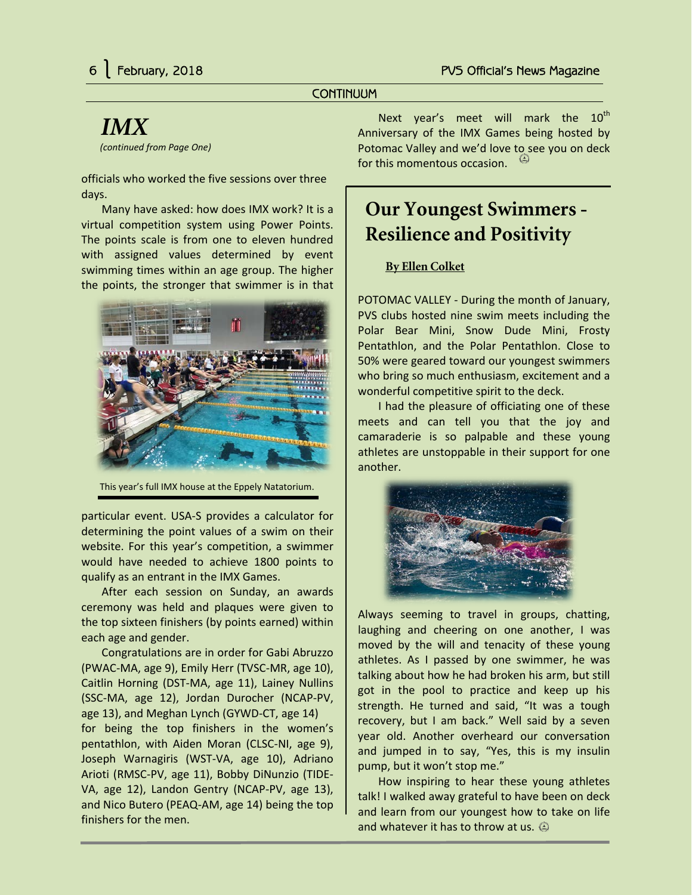### **CONTINUUM**

# <span id="page-5-0"></span>*IMX*

*(continued from Page One)*

officials who worked the five sessions over three days.

Many have asked: how does IMX work? It is a virtual competition system using Power Points. The points scale is from one to eleven hundred with assigned values determined by event swimming times within an age group. The higher the points, the stronger that swimmer is in that



This year's full IMX house at the Eppely Natatorium.

particular event. USA-S provides a calculator for determining the point values of a swim on their website. For this year's competition, a swimmer would have needed to achieve 1800 points to qualify as an entrant in the IMX Games.

After each session on Sunday, an awards ceremony was held and plaques were given to the top sixteen finishers (by points earned) within each age and gender.

Congratulations are in order for Gabi Abruzzo (PWAC-MA, age 9), Emily Herr (TVSC-MR, age 10), Caitlin Horning (DST-MA, age 11), Lainey Nullins (SSC-MA, age 12), Jordan Durocher (NCAP-PV, age 13), and Meghan Lynch (GYWD-CT, age 14) for being the top finishers in the women's pentathlon, with Aiden Moran (CLSC-NI, age 9), Joseph Warnagiris (WST-VA, age 10), Adriano Arioti (RMSC-PV, age 11), Bobby DiNunzio (TIDE-VA, age 12), Landon Gentry (NCAP-PV, age 13), and Nico Butero (PEAQ-AM, age 14) being the top finishers for the men.

Next year's meet will mark the 10<sup>th</sup> Anniversary of the IMX Games being hosted by Potomac Valley and we'd love to see you on deck for this momentous occasion.

# **Our Youngest Swimmers - Resilience and Positivity**

# **By Ellen Colket**

POTOMAC VALLEY - During the month of January, PVS clubs hosted nine swim meets including the Polar Bear Mini, Snow Dude Mini, Frosty Pentathlon, and the Polar Pentathlon. Close to 50% were geared toward our youngest swimmers who bring so much enthusiasm, excitement and a wonderful competitive spirit to the deck.

I had the pleasure of officiating one of these meets and can tell you that the joy and camaraderie is so palpable and these young athletes are unstoppable in their support for one another.



Always seeming to travel in groups, chatting, laughing and cheering on one another, I was moved by the will and tenacity of these young athletes. As I passed by one swimmer, he was talking about how he had broken his arm, but still got in the pool to practice and keep up his strength. He turned and said, "It was a tough recovery, but I am back." Well said by a seven year old. Another overheard our conversation and jumped in to say, "Yes, this is my insulin pump, but it won't stop me."

How inspiring to hear these young athletes talk! I walked away grateful to have been on deck and learn from our youngest how to take on life and whatever it has to throw at us.  $\circledcirc$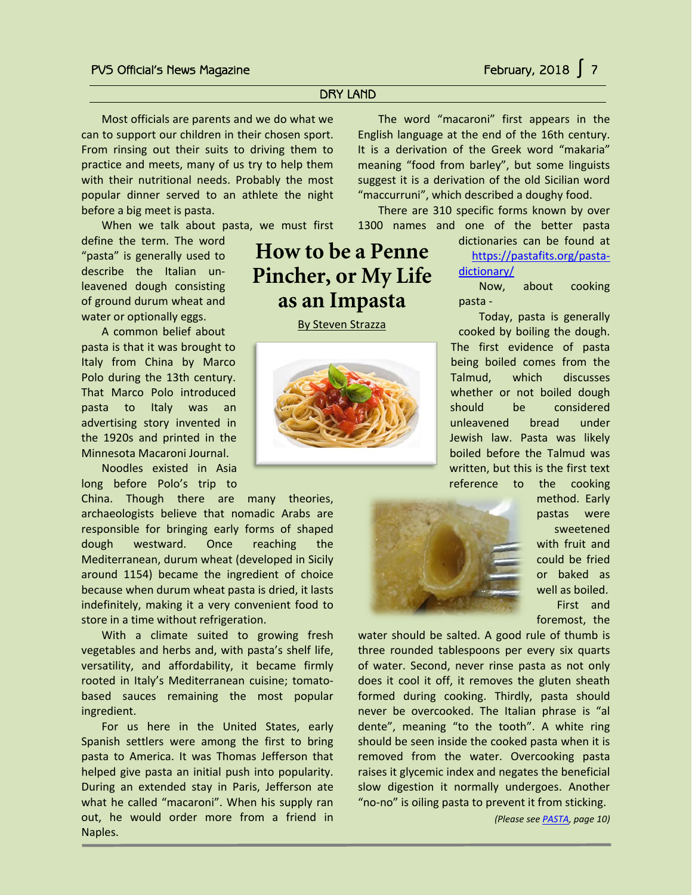i<br>T

# DRY LAND

**How to be a Penne** 

**Pincher, or My Life** 

**as an Impasta** By Steven Strazza

Most officials are parents and we do what we can to support our children in their chosen sport. From rinsing out their suits to driving them to practice and meets, many of us try to help them with their nutritional needs. Probably the most popular dinner served to an athlete the night before a big meet is pasta.

When we talk about pasta, we must first

define the term. The word "pasta" is generally used to describe the Italian unleavened dough consisting of ground durum wheat and water or optionally eggs.

A common belief about pasta is that it was brought to Italy from China by Marco Polo during the 13th century. That Marco Polo introduced pasta to Italy was an advertising story invented in the 1920s and printed in the Minnesota Macaroni Journal.

Noodles existed in Asia long before Polo's trip to

China. Though there are many theories, archaeologists believe that nomadic Arabs are responsible for bringing early forms of shaped dough westward. Once reaching the Mediterranean, durum wheat (developed in Sicily around 1154) became the ingredient of choice because when durum wheat pasta is dried, it lasts indefinitely, making it a very convenient food to store in a time without refrigeration.

With a climate suited to growing fresh vegetables and herbs and, with pasta's shelf life, versatility, and affordability, it became firmly rooted in Italy's Mediterranean cuisine; tomatobased sauces remaining the most popular ingredient.

For us here in the United States, early Spanish settlers were among the first to bring pasta to America. It was Thomas Jefferson that helped give pasta an initial push into popularity. During an extended stay in Paris, Jefferson ate what he called "macaroni". When his supply ran out, he would order more from a friend in Naples.

The word "macaroni" first appears in the English language at the end of the 16th century. It is a derivation of the Greek word "makaria" meaning "food from barley", but some linguists suggest it is a derivation of the old Sicilian word "maccurruni", which described a doughy food.

There are 310 specific forms known by over 1300 names and one of the better pasta

> dictionaries can be found at [https://pastafits.org/pasta](https://pastafits.org/pasta-dictionary/)[dictionary/](https://pastafits.org/pasta-dictionary/)

Now, about cooking pasta -

Today, pasta is generally cooked by boiling the dough. The first evidence of pasta being boiled comes from the Talmud, which discusses whether or not boiled dough should be considered unleavened bread under Jewish law. Pasta was likely boiled before the Talmud was written, but this is the first text reference to the cooking



method. Early pastas were sweetened with fruit and could be fried or baked as well as boiled. First and foremost, the

water should be salted. A good rule of thumb is three rounded tablespoons per every six quarts of water. Second, never rinse pasta as not only does it cool it off, it removes the gluten sheath formed during cooking. Thirdly, pasta should never be overcooked. The Italian phrase is "al dente", meaning "to the tooth". A white ring should be seen inside the cooked pasta when it is removed from the water. Overcooking pasta raises it glycemic index and negates the beneficial slow digestion it normally undergoes. Another "no-no" is oiling pasta to prevent it from sticking.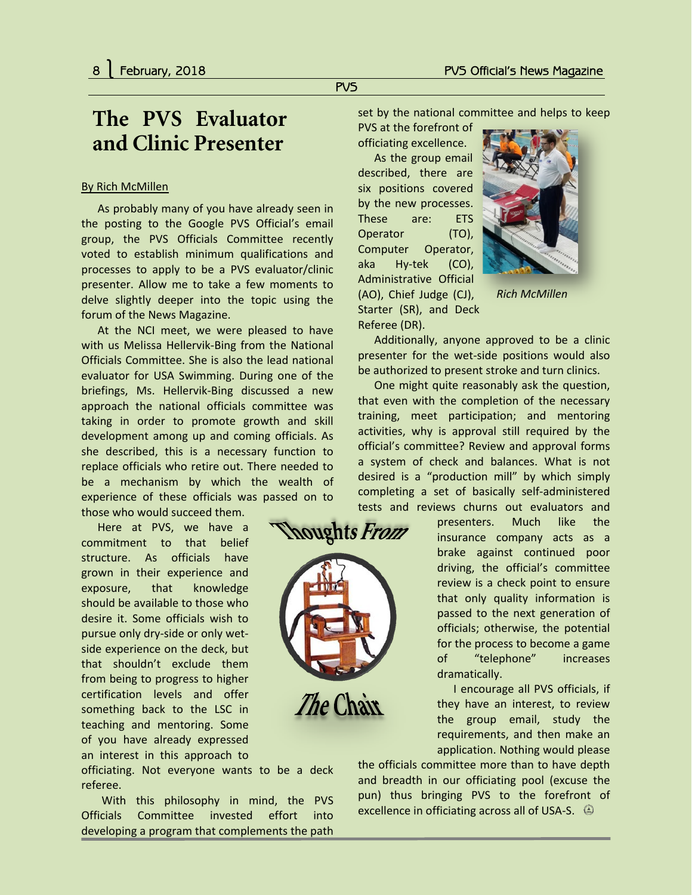# **The PVS Evaluator and Clinic Presenter**

### By Rich McMillen

As probably many of you have already seen in the posting to the Google PVS Official's email group, the PVS Officials Committee recently voted to establish minimum qualifications and processes to apply to be a PVS evaluator/clinic presenter. Allow me to take a few moments to delve slightly deeper into the topic using the forum of the News Magazine.

At the NCI meet, we were pleased to have with us Melissa Hellervik-Bing from the National Officials Committee. She is also the lead national evaluator for USA Swimming. During one of the briefings, Ms. Hellervik-Bing discussed a new approach the national officials committee was taking in order to promote growth and skill development among up and coming officials. As she described, this is a necessary function to replace officials who retire out. There needed to be a mechanism by which the wealth of experience of these officials was passed on to those who would succeed them.

Here at PVS, we have a commitment to that belief structure. As officials have grown in their experience and exposure, that knowledge should be available to those who desire it. Some officials wish to pursue only dry-side or only wetside experience on the deck, but that shouldn't exclude them from being to progress to higher certification levels and offer something back to the LSC in teaching and mentoring. Some of you have already expressed an interest in this approach to

officiating. Not everyone wants to be a deck referee.

With this philosophy in mind, the PVS Officials Committee invested effort into developing a program that complements the path

set by the national committee and helps to keep

PVS at the forefront of officiating excellence.

PVS

As the group email described, there are six positions covered by the new processes. These are: ETS Operator (TO), Computer Operator, aka Hy-tek (CO), Administrative Official (AO), Chief Judge (CJ), Starter (SR), and Deck

Referee (DR).

*houghts From* 

The Chair



*Rich McMillen*

Additionally, anyone approved to be a clinic presenter for the wet-side positions would also be authorized to present stroke and turn clinics.

One might quite reasonably ask the question, that even with the completion of the necessary training, meet participation; and mentoring activities, why is approval still required by the official's committee? Review and approval forms a system of check and balances. What is not desired is a "production mill" by which simply completing a set of basically self-administered tests and reviews churns out evaluators and

> presenters. Much like the insurance company acts as a brake against continued poor driving, the official's committee review is a check point to ensure that only quality information is passed to the next generation of officials; otherwise, the potential for the process to become a game of "telephone" increases dramatically.

> I encourage all PVS officials, if they have an interest, to review the group email, study the requirements, and then make an application. Nothing would please

the officials committee more than to have depth and breadth in our officiating pool (excuse the pun) thus bringing PVS to the forefront of excellence in officiating across all of USA-S.  $\circledcirc$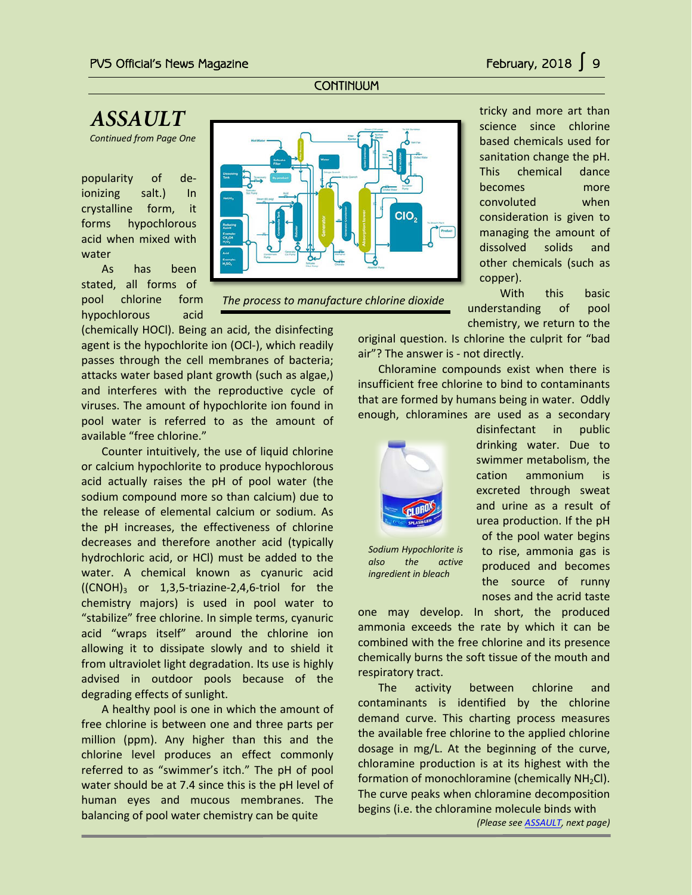## **CONTINUUM**

# <span id="page-8-0"></span>*ASSAULT*

*Continued from Page One*

popularity of deionizing salt.) In crystalline form, it forms hypochlorous acid when mixed with water

As has been stated, all forms of pool chlorine form hypochlorous acid

(chemically HOCl). Being an acid, the disinfecting agent is the hypochlorite ion (OCl-), which readily passes through the cell membranes of bacteria; attacks water based plant growth (such as algae,) and interferes with the reproductive cycle of viruses. The amount of hypochlorite ion found in pool water is referred to as the amount of available "free chlorine."

Counter intuitively, the use of liquid chlorine or calcium hypochlorite to produce hypochlorous acid actually raises the pH of pool water (the sodium compound more so than calcium) due to the release of elemental calcium or sodium. As the pH increases, the effectiveness of chlorine decreases and therefore another acid (typically hydrochloric acid, or HCl) must be added to the water. A chemical known as cyanuric acid  $((CNOH)<sub>3</sub>$  or 1,3,5-triazine-2,4,6-triol for the chemistry majors) is used in pool water to "stabilize" free chlorine. In simple terms, cyanuric acid "wraps itself" around the chlorine ion allowing it to dissipate slowly and to shield it from ultraviolet light degradation. Its use is highly advised in outdoor pools because of the degrading effects of sunlight.

A healthy pool is one in which the amount of free chlorine is between one and three parts per million (ppm). Any higher than this and the chlorine level produces an effect commonly referred to as "swimmer's itch." The pH of pool water should be at 7.4 since this is the pH level of human eyes and mucous membranes. The balancing of pool water chemistry can be quite



*The process to manufacture chlorine dioxide*

tricky and more art than science since chlorine based chemicals used for sanitation change the pH. This chemical dance becomes more convoluted when consideration is given to managing the amount of dissolved solids and other chemicals (such as copper).

With this basic understanding of pool chemistry, we return to the

original question. Is chlorine the culprit for "bad air"? The answer is - not directly.

Chloramine compounds exist when there is insufficient free chlorine to bind to contaminants that are formed by humans being in water. Oddly enough, chloramines are used as a secondary



*Sodium Hypochlorite is also the active ingredient in bleach*

swimmer metabolism, the cation ammonium is excreted through sweat and urine as a result of urea production. If the pH of the pool water begins to rise, ammonia gas is produced and becomes the source of runny noses and the acrid taste

disinfectant in public drinking water. Due to

one may develop. In short, the produced ammonia exceeds the rate by which it can be combined with the free chlorine and its presence chemically burns the soft tissue of the mouth and respiratory tract.

The activity between chlorine and contaminants is identified by the chlorine demand curve. This charting process measures the available free chlorine to the applied chlorine dosage in mg/L. At the beginning of the curve, chloramine production is at its highest with the formation of monochloramine (chemically  $NH<sub>2</sub>Cl$ ). The curve peaks when chloramine decomposition begins (i.e. the chloramine molecule binds with

*(Please se[e ASSAULT,](#page-9-1) next page)*